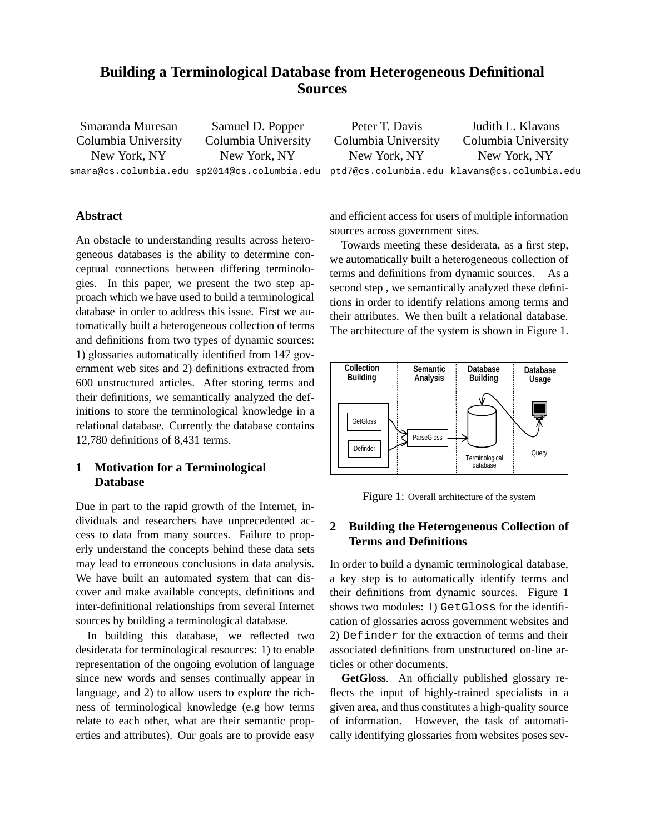# **Building a Terminological Database from Heterogeneous Definitional Sources**

Smaranda Muresan Columbia University New York, NY smara@cs.columbia.edu sp2014@cs.columbia.edu ptd7@cs.columbia.edu klavans@cs.columbia.edu Samuel D. Popper Columbia University New York, NY Peter T. Davis Columbia University New York, NY Judith L. Klavans Columbia University New York, NY

## **Abstract**

An obstacle to understanding results across heterogeneous databases is the ability to determine conceptual connections between differing terminologies. In this paper, we present the two step approach which we have used to build a terminological database in order to address this issue. First we automatically built a heterogeneous collection of terms and definitions from two types of dynamic sources: 1) glossaries automatically identified from 147 government web sites and 2) definitions extracted from 600 unstructured articles. After storing terms and their definitions, we semantically analyzed the definitions to store the terminological knowledge in a relational database. Currently the database contains 12,780 definitions of 8,431 terms.

# **1 Motivation for a Terminological Database**

Due in part to the rapid growth of the Internet, individuals and researchers have unprecedented access to data from many sources. Failure to properly understand the concepts behind these data sets may lead to erroneous conclusions in data analysis. We have built an automated system that can discover and make available concepts, definitions and inter-definitional relationships from several Internet sources by building a terminological database.

In building this database, we reflected two desiderata for terminological resources: 1) to enable representation of the ongoing evolution of language since new words and senses continually appear in language, and 2) to allow users to explore the richness of terminological knowledge (e.g how terms relate to each other, what are their semantic properties and attributes). Our goals are to provide easy

and efficient access for users of multiple information sources across government sites.

Towards meeting these desiderata, as a first step, we automatically built a heterogeneous collection of terms and definitions from dynamic sources. As a second step , we semantically analyzed these definitions in order to identify relations among terms and their attributes. We then built a relational database. The architecture of the system is shown in Figure 1.



Figure 1: Overall architecture of the system

# **2 Building the Heterogeneous Collection of Terms and Definitions**

In order to build a dynamic terminological database, a key step is to automatically identify terms and their definitions from dynamic sources. Figure 1 shows two modules: 1) GetGloss for the identification of glossaries across government websites and 2) Definder for the extraction of terms and their associated definitions from unstructured on-line articles or other documents.

**GetGloss**. An officially published glossary reflects the input of highly-trained specialists in a given area, and thus constitutes a high-quality source of information. However, the task of automatically identifying glossaries from websites poses sev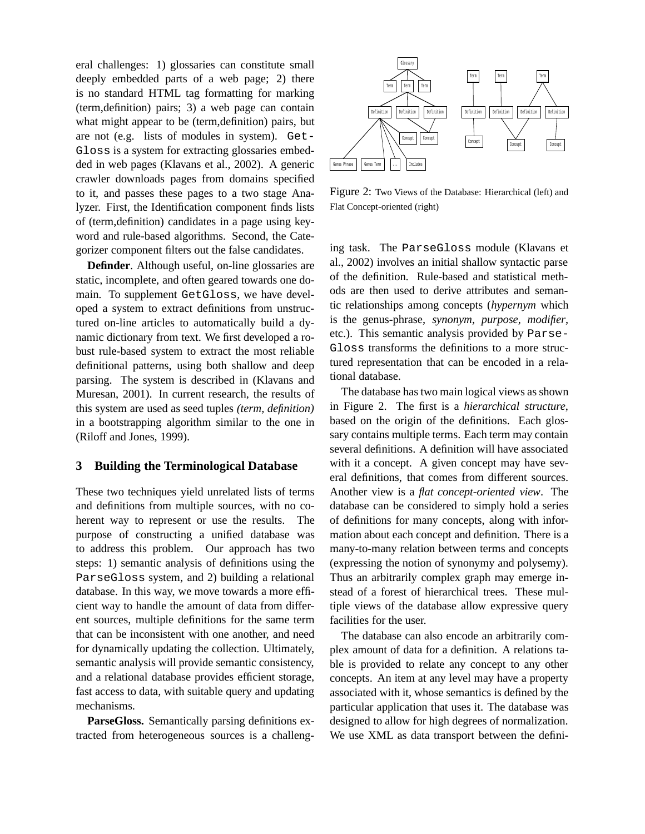eral challenges: 1) glossaries can constitute small deeply embedded parts of a web page; 2) there is no standard HTML tag formatting for marking (term,definition) pairs; 3) a web page can contain what might appear to be (term,definition) pairs, but are not (e.g. lists of modules in system). Get-Gloss is a system for extracting glossaries embedded in web pages (Klavans et al., 2002). A generic crawler downloads pages from domains specified to it, and passes these pages to a two stage Analyzer. First, the Identification component finds lists of (term,definition) candidates in a page using keyword and rule-based algorithms. Second, the Categorizer component filters out the false candidates.

**Definder**. Although useful, on-line glossaries are static, incomplete, and often geared towards one domain. To supplement GetGloss, we have developed a system to extract definitions from unstructured on-line articles to automatically build a dynamic dictionary from text. We first developed a robust rule-based system to extract the most reliable definitional patterns, using both shallow and deep parsing. The system is described in (Klavans and Muresan, 2001). In current research, the results of this system are used as seed tuples *(term, definition)* in a bootstrapping algorithm similar to the one in (Riloff and Jones, 1999).

#### **3 Building the Terminological Database**

These two techniques yield unrelated lists of terms and definitions from multiple sources, with no coherent way to represent or use the results. The purpose of constructing a unified database was to address this problem. Our approach has two steps: 1) semantic analysis of definitions using the ParseGloss system, and 2) building a relational database. In this way, we move towards a more efficient way to handle the amount of data from different sources, multiple definitions for the same term that can be inconsistent with one another, and need for dynamically updating the collection. Ultimately, semantic analysis will provide semantic consistency, and a relational database provides efficient storage, fast access to data, with suitable query and updating mechanisms.

**ParseGloss.** Semantically parsing definitions extracted from heterogeneous sources is a challeng-



Figure 2: Two Views of the Database: Hierarchical (left) and Flat Concept-oriented (right)

ing task. The ParseGloss module (Klavans et al., 2002) involves an initial shallow syntactic parse of the definition. Rule-based and statistical methods are then used to derive attributes and semantic relationships among concepts (*hypernym* which is the genus-phrase, *synonym*, *purpose*, *modifier*, etc.). This semantic analysis provided by Parse-Gloss transforms the definitions to a more structured representation that can be encoded in a relational database.

The database has two main logical views as shown in Figure 2. The first is a *hierarchical structure*, based on the origin of the definitions. Each glossary contains multiple terms. Each term may contain several definitions. A definition will have associated with it a concept. A given concept may have several definitions, that comes from different sources. Another view is a *flat concept-oriented view*. The database can be considered to simply hold a series of definitions for many concepts, along with information about each concept and definition. There is a many-to-many relation between terms and concepts (expressing the notion of synonymy and polysemy). Thus an arbitrarily complex graph may emerge instead of a forest of hierarchical trees. These multiple views of the database allow expressive query facilities for the user.

The database can also encode an arbitrarily complex amount of data for a definition. A relations table is provided to relate any concept to any other concepts. An item at any level may have a property associated with it, whose semantics is defined by the particular application that uses it. The database was designed to allow for high degrees of normalization. We use XML as data transport between the defini-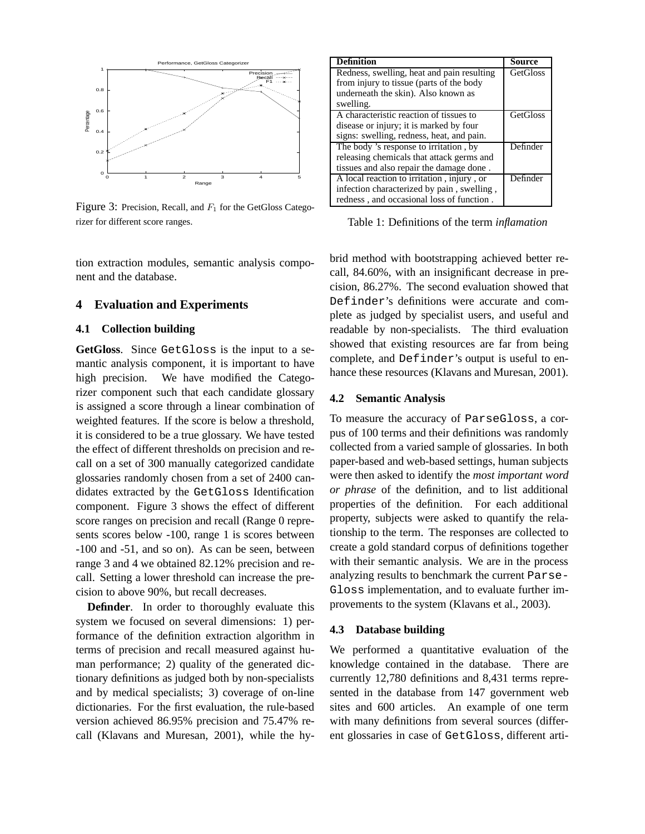

Figure 3: Precision, Recall, and  $F_1$  for the GetGloss Categorizer for different score ranges.

tion extraction modules, semantic analysis component and the database.

#### **4 Evaluation and Experiments**

## **4.1 Collection building**

**GetGloss**. Since GetGloss is the input to a semantic analysis component, it is important to have high precision. We have modified the Categorizer component such that each candidate glossary is assigned a score through a linear combination of weighted features. If the score is below a threshold, it is considered to be a true glossary. We have tested the effect of different thresholds on precision and recall on a set of 300 manually categorized candidate glossaries randomly chosen from a set of 2400 candidates extracted by the GetGloss Identification component. Figure 3 shows the effect of different score ranges on precision and recall (Range 0 represents scores below -100, range 1 is scores between -100 and -51, and so on). As can be seen, between range 3 and 4 we obtained 82.12% precision and recall. Setting a lower threshold can increase the precision to above 90%, but recall decreases.

**Definder**. In order to thoroughly evaluate this system we focused on several dimensions: 1) performance of the definition extraction algorithm in terms of precision and recall measured against human performance; 2) quality of the generated dictionary definitions as judged both by non-specialists and by medical specialists; 3) coverage of on-line dictionaries. For the first evaluation, the rule-based version achieved 86.95% precision and 75.47% recall (Klavans and Muresan, 2001), while the hy-

| Definition                                 | Source          |
|--------------------------------------------|-----------------|
| Redness, swelling, heat and pain resulting | <b>GetGloss</b> |
| from injury to tissue (parts of the body   |                 |
| underneath the skin). Also known as        |                 |
| swelling.                                  |                 |
| A characteristic reaction of tissues to    | <b>GetGloss</b> |
| disease or injury; it is marked by four    |                 |
| signs: swelling, redness, heat, and pain.  |                 |
| The body 's response to irritation, by     | Definder        |
| releasing chemicals that attack germs and  |                 |
| tissues and also repair the damage done.   |                 |
| A local reaction to irritation, injury, or | Definder        |
| infection characterized by pain, swelling, |                 |
| redness, and occasional loss of function.  |                 |

Table 1: Definitions of the term *inflamation*

brid method with bootstrapping achieved better recall, 84.60%, with an insignificant decrease in precision, 86.27%. The second evaluation showed that Definder's definitions were accurate and complete as judged by specialist users, and useful and readable by non-specialists. The third evaluation showed that existing resources are far from being complete, and Definder's output is useful to enhance these resources (Klavans and Muresan, 2001).

#### **4.2 Semantic Analysis**

To measure the accuracy of ParseGloss, a corpus of 100 terms and their definitions was randomly collected from a varied sample of glossaries. In both paper-based and web-based settings, human subjects were then asked to identify the *most important word or phrase* of the definition, and to list additional properties of the definition. For each additional property, subjects were asked to quantify the relationship to the term. The responses are collected to create a gold standard corpus of definitions together with their semantic analysis. We are in the process analyzing results to benchmark the current Parse-Gloss implementation, and to evaluate further improvements to the system (Klavans et al., 2003).

#### **4.3 Database building**

We performed a quantitative evaluation of the knowledge contained in the database. There are currently 12,780 definitions and 8,431 terms represented in the database from 147 government web sites and 600 articles. An example of one term with many definitions from several sources (different glossaries in case of GetGloss, different arti-